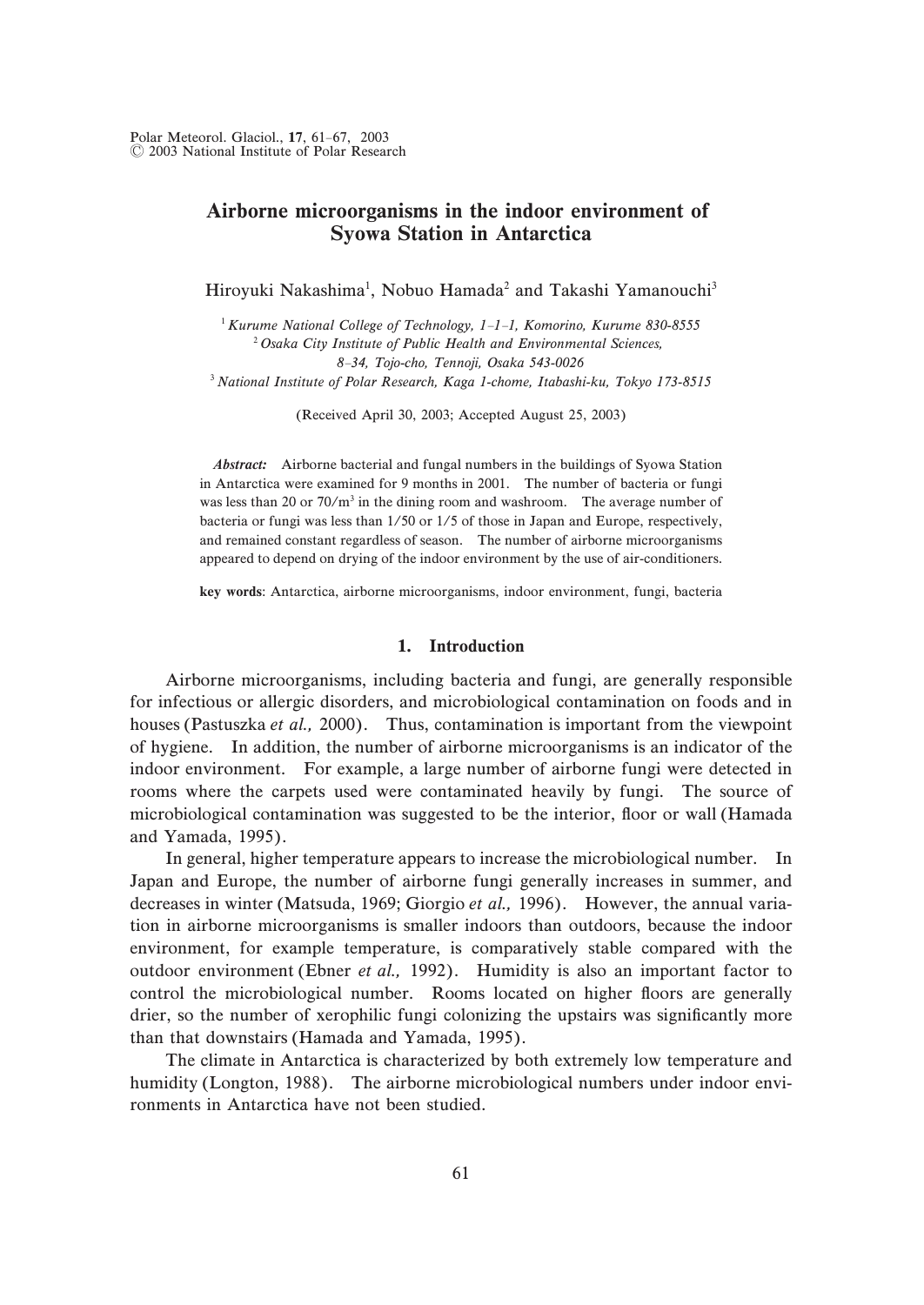# Airborne microorganisms in the indoor environment of Syowa Station in Antarctica

Hiroyuki Nakashima<sup>1</sup>, Nobuo Hamada<sup>2</sup> and Takashi Yamanouchi<sup>3</sup>

 ${}^{1}$  Kurume National College of Technology, 1-1-1, Komorino, Kurume 830-8555  $^{2}$  Osaka City Institute of Public Health and Environmental Sciences, 8-34, Tojo-cho, Tennoji, Osaka 543-0026  $3$  National Institute of Polar Research, Kaga 1-chome, Itabashi-ku, Tokyo 173-8515

(Received April 30, 2003; Accepted August 25, 2003)

Abstract: Airborne bacterial and fungal numbers in the buildings of Syowa Station in Antarctica were examined for 9 months in 2001. The number of bacteria or fungi was less than 20 or  $70/m^3$  in the dining room and washroom. The average number of bacteria or fungi was less than  $1/50$  or  $1/5$  of those in Japan and Europe, respectively, and remained constant regardless of season. The number of airborne microorganisms appeared to depend on drying of the indoor environment by the use of air-conditioners.

key words: Antarctica, airborne microorganisms, indoor environment, fungi, bacteria

#### 1. Introduction

Airborne microorganisms, including bacteria and fungi, are generally responsible for infectious or allergic disorders, and microbiological contamination on foods and in houses (Pastuszka et al., 2000). Thus, contamination is important from the viewpoint of hygiene. In addition, the number of airborne microorganisms is an indicator of the indoor environment. For example, a large number of airborne fungi were detected in rooms where the carpets used were contaminated heavily by fungi. The source of microbiological contamination was suggested to be the interior, floor or wall (Hamada and Yamada,  $1995$ ).

In general, higher temperature appears to increase the microbiological number. In Japan and Europe, the number of airborne fungi generally increases in summer, and decreases in winter (Matsuda, 1969; Giorgio et al., 1996). However, the annual variation in airborne microorganisms is smaller indoors than outdoors, because the indoor environment, for example temperature, is comparatively stable compared with the outdoor environment (Ebner *et al.*, 1992). Humidity is also an important factor to control the microbiological number. Rooms located on higher floors are generally drier, so the number of xerophilic fungi colonizing the upstairs was significantly more than that downstairs (Hamada and Yamada, 1995).

The climate in Antarctica is characterized by both extremely low temperature and humidity (Longton, 1988). The airborne microbiological numbers under indoor environments in Antarctica have not been studied.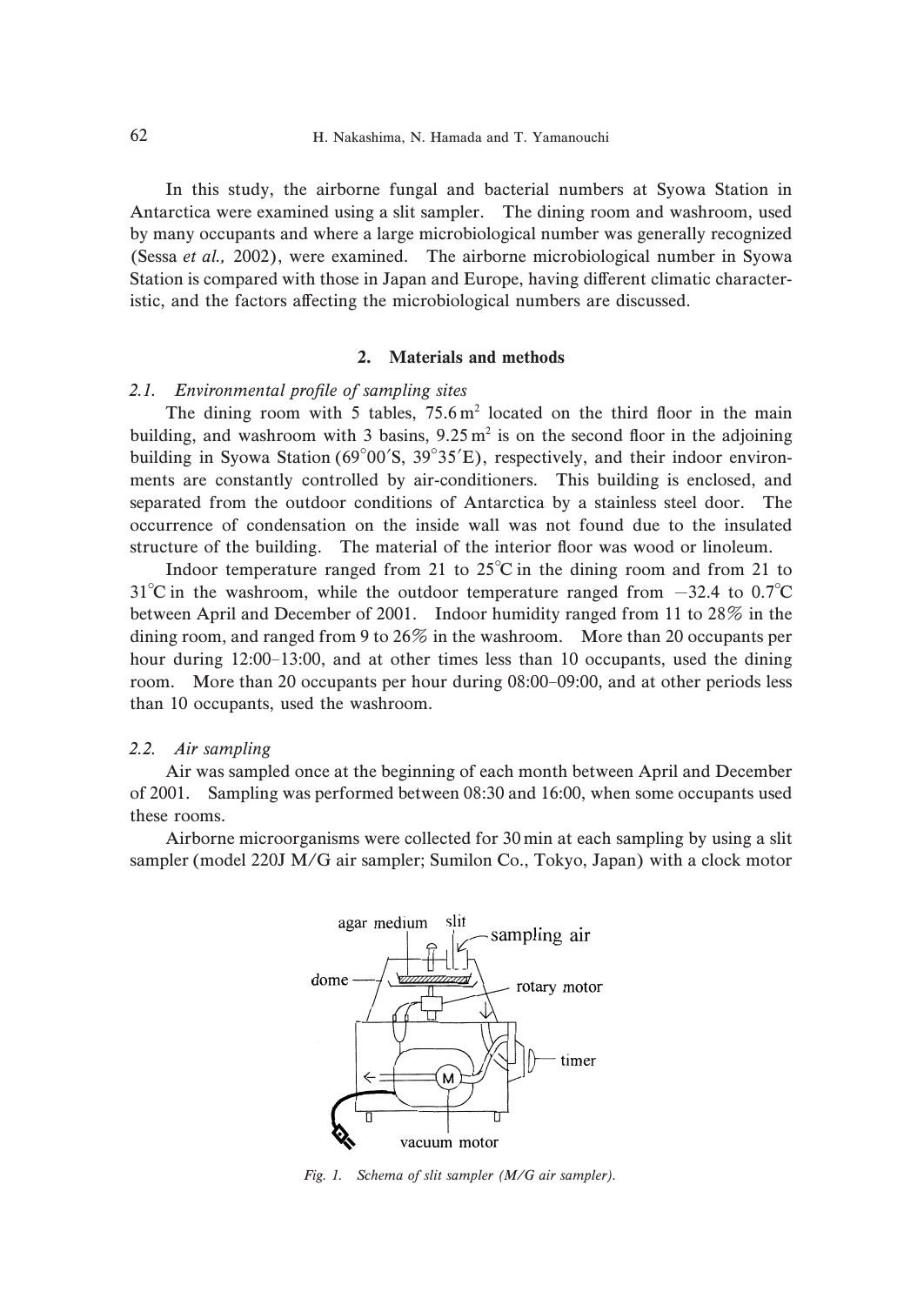In this study, the airborne fungal and bacterial numbers at Syowa Station in Antarctica were examined using a slit sampler. The dining room and washroom, used by many occupants and where a large microbiological number was generally recognized (Sessa *et al.*, 2002), were examined. The airborne microbiological number in Syowa Station is compared with those in Japan and Europe, having different climatic characteristic, and the factors affecting the microbiological numbers are discussed.

# 2. Materials and methods

### 2.1. Environmental profile of sampling sites

The dining room with 5 tables,  $75.6 \text{ m}^2$  located on the third floor in the main building, and washroom with 3 basins,  $9.25 \text{ m}^2$  is on the second floor in the adjoining building in Syowa Station ( $69^{\circ}00'S$ ,  $39^{\circ}35'E$ ), respectively, and their indoor environments are constantly controlled by air-conditioners. This building is enclosed, and separated from the outdoor conditions of Antarctica by a stainless steel door. The occurrence of condensation on the inside wall was not found due to the insulated structure of the building. The material of the interior floor was wood or linoleum.

Indoor temperature ranged from 21 to  $25^{\circ}\text{C}$  in the dining room and from 21 to  $31^{\circ}$ C in the washroom, while the outdoor temperature ranged from  $-32.4$  to 0.7 $^{\circ}$ C between April and December of 2001. Indoor humidity ranged from 11 to  $28\%$  in the dining room, and ranged from 9 to  $26\%$  in the washroom. More than 20 occupants per hour during  $12:00-13:00$ , and at other times less than  $10$  occupants, used the dining room. More than 20 occupants per hour during  $08:00-09:00$ , and at other periods less than 10 occupants, used the washroom.

### 2.2. Air sampling

Air was sampled once at the beginning of each month between April and December of 2001. Sampling was performed between  $08:30$  and  $16:00$ , when some occupants used these rooms.

Airborne microorganisms were collected for  $30 \text{ min}$  at each sampling by using a slit sampler (model 220J M/G air sampler; Sumilon Co., Tokyo, Japan) with a clock motor



Fig. 1. Schema of slit sampler (M/G air sampler).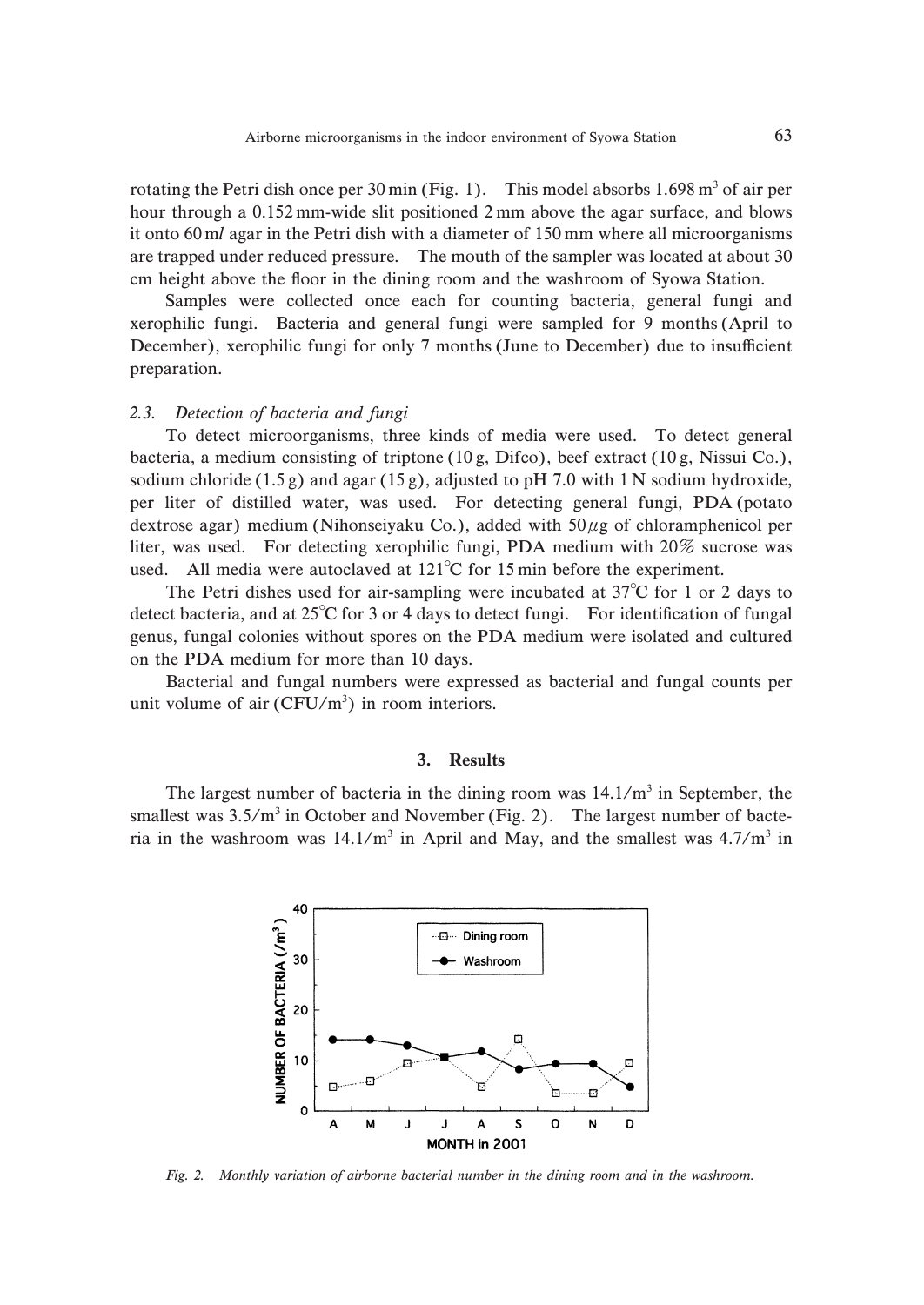rotating the Petri dish once per 30 min (Fig. 1). This model absorbs  $1.698 \text{ m}^3$  of air per hour through a  $0.152$  mm-wide slit positioned 2 mm above the agar surface, and blows it onto  $60 \text{ ml}$  agar in the Petri dish with a diameter of  $150 \text{ mm}$  where all microorganisms are trapped under reduced pressure. The mouth of the sampler was located at about 30 cm height above the floor in the dining room and the washroom of Syowa Station.

Samples were collected once each for counting bacteria, general fungi and xerophilic fungi. Bacteria and general fungi were sampled for 3 months (April to December), xerophilic fungi for only 7 months (June to December) due to insufficient preparation.

#### 2.3. Detection of bacteria and fungi

To detect microorganisms, three kinds of media were used. To detect general bacteria, a medium consisting of triptone (10 g, Difco), beef extract (10 g, Nissui Co.), sodium chloride  $(1.5 g)$  and agar  $(15 g)$ , adjusted to pH 7.0 with 1 N sodium hydroxide, per liter of distilled water, was used. For detecting general fungi, PDA (potato dextrose agar) medium (Nihonseiyaku Co.), added with  $50 \mu$ g of chloramphenicol per liter, was used. For detecting xerophilic fungi, PDA medium with  $20\%$  sucrose was used. All media were autoclaved at  $121^{\circ}$ C for 15 min before the experiment.

The Petri dishes used for air-sampling were incubated at  $37^{\circ}$ C for 1 or 2 days to detect bacteria, and at  $25^{\circ}$ C for 3 or 4 days to detect fungi. For identification of fungal genus, fungal colonies without spores on the PDA medium were isolated and cultured on the PDA medium for more than 10 days.

Bacterial and fungal numbers were expressed as bacterial and fungal counts per unit volume of air  $(CFU/m^3)$  in room interiors.

### 3. Results

The largest number of bacteria in the dining room was  $14.1/m<sup>3</sup>$  in September, the smallest was  $3.5/m<sup>3</sup>$  in October and November (Fig. 2). The largest number of bacteria in the washroom was  $14.1/m^3$  in April and May, and the smallest was  $4.7/m^3$  in



Fig. 2. Monthly variation of airborne bacterial number in the dining room and in the washroom.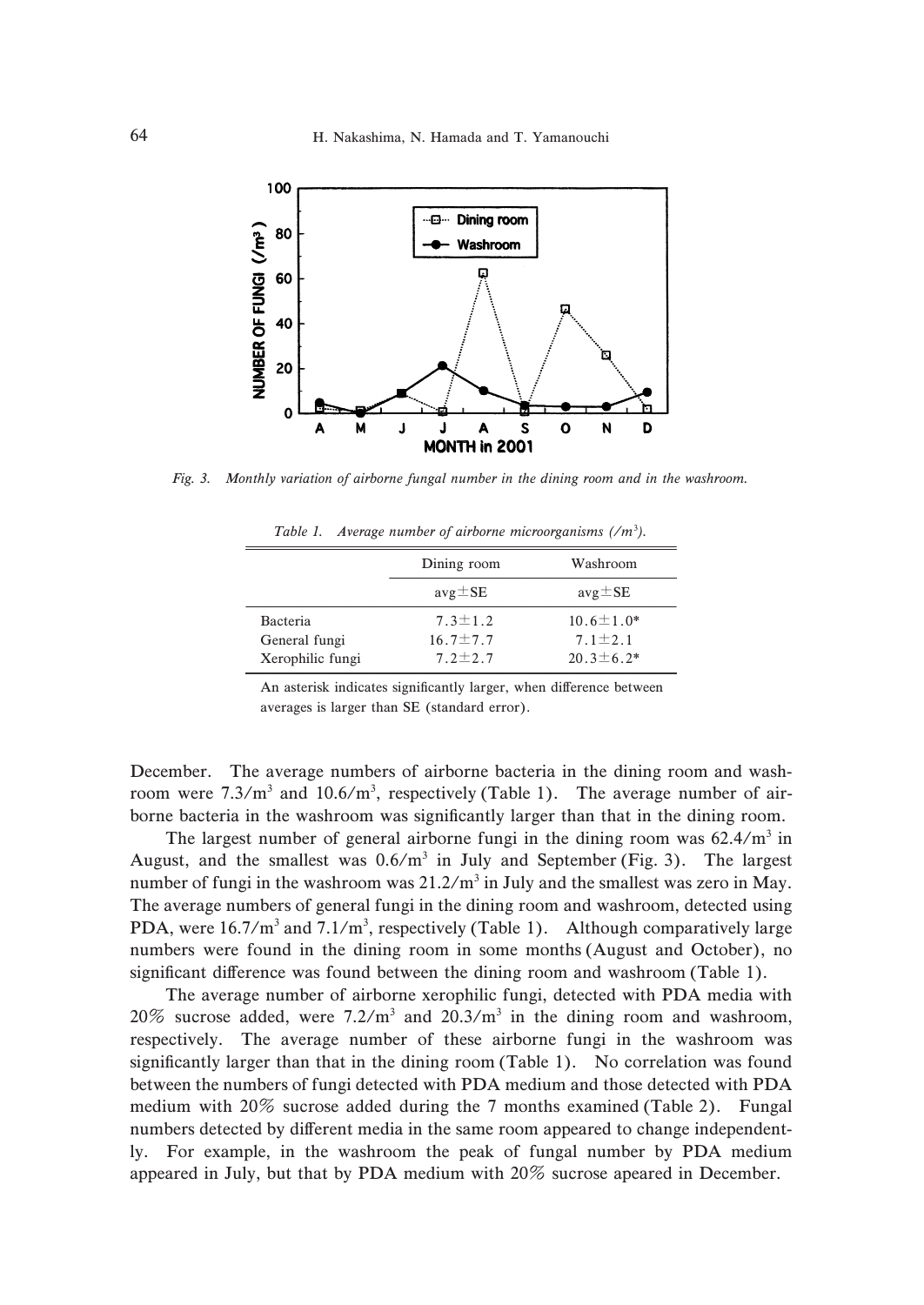

Fig. 3. Monthly variation of airborne fungal number in the dining room and in the washroom.

Table 1. Average number of airborne microorganisms  $(\sqrt{m^3})$ .

|                  | Dining room    | Washroom         |
|------------------|----------------|------------------|
|                  | $avg \pm SE$   | $avg \pm SE$     |
| <b>Bacteria</b>  | $7.3 \pm 1.2$  | $10.6 \pm 1.0*$  |
| General fungi    | $16.7 \pm 7.7$ | $7.1 \pm 2.1$    |
| Xerophilic fungi | $7.2 \pm 2.7$  | $20.3 \pm 6.2^*$ |

An asterisk indicates significantly larger, when difference between averages is larger than SE (standard error).

December. The average numbers of airborne bacteria in the dining room and washroom were  $7.3/m^3$  and  $10.6/m^3$ , respectively (Table 1). The average number of airborne bacteria in the washroom was significantly larger than that in the dining room.

The largest number of general airborne fungi in the dining room was  $62.4/m<sup>3</sup>$  in August, and the smallest was  $0.6/m^3$  in July and September (Fig. 3). The largest number of fungi in the washroom was  $21.2/m^3$  in July and the smallest was zero in May. The average numbers of general fungi in the dining room and washroom, detected using PDA, were  $16.7/m^3$  and  $7.1/m^3$ , respectively (Table 1). Although comparatively large numbers were found in the dining room in some months (August and October), no significant difference was found between the dining room and washroom (Table 1).

The average number of airborne xerophilic fungi, detected with PDA media with 20% sucrose added, were  $7.2/m^3$  and  $20.3/m^3$  in the dining room and washroom, respectively. The average number of these airborne fungi in the washroom was significantly larger than that in the dining room (Table 1). No correlation was found between the numbers of fungi detected with PDA medium and those detected with PDA medium with  $20\%$  sucrose added during the 7 months examined (Table 2). Fungal numbers detected by different media in the same room appeared to change independently. For example, in the washroom the peak of fungal number by PDA medium appeared in July, but that by PDA medium with  $20\%$  sucrose apeared in December.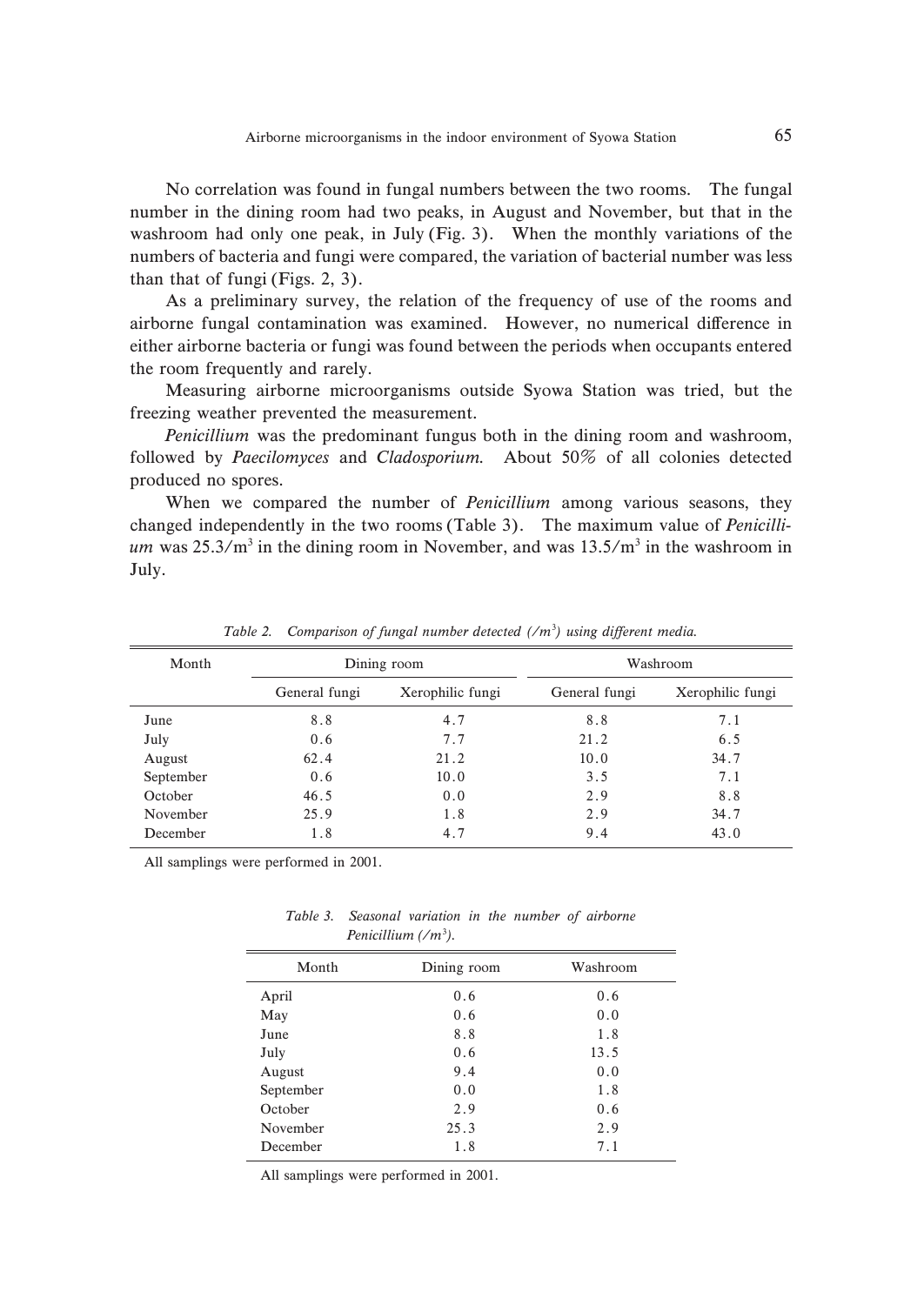No correlation was found in fungal numbers between the two rooms. The fungal number in the dining room had two peaks, in August and November, but that in the washroom had only one peak, in July (Fig. 3). When the monthly variations of the numbers of bacteria and fungi were compared, the variation of bacterial number was less than that of fungi (Figs.  $2, 3$ ).

As a preliminary survey, the relation of the frequency of use of the rooms and airborne fungal contamination was examined. However, no numerical difference in either airborne bacteria or fungi was found between the periods when occupants entered the room frequently and rarely.

Measuring airborne microorganisms outside Syowa Station was tried, but the freezing weather prevented the measurement.

Penicillium was the predominant fungus both in the dining room and washroom, followed by Paecilomyces and Cladosporium. About  $50\%$  of all colonies detected produced no spores.

When we compared the number of *Penicillium* among various seasons, they changed independently in the two rooms (Table 3). The maximum value of *Penicilli*um was  $25.3/m^3$  in the dining room in November, and was  $13.5/m^3$  in the washroom in July.

| Month     | Dining room   |                  | Washroom      |                  |
|-----------|---------------|------------------|---------------|------------------|
|           | General fungi | Xerophilic fungi | General fungi | Xerophilic fungi |
| June      | 8.8           | 4.7              | 8.8           | 7.1              |
| July      | 0.6           | 7.7              | 21.2          | 6.5              |
| August    | 62.4          | 21.2             | 10.0          | 34.7             |
| September | 0.6           | 10.0             | 3.5           | 7.1              |
| October   | 46.5          | 0.0              | 2.9           | 8.8              |
| November  | 25.9          | 1.8              | 2.9           | 34.7             |
| December  | 1.8           | 4.7              | 9.4           | 43.0             |

Table 2. Comparison of fungal number detected  $(\ell m^3)$  using different media.

All samplings were performed in 2001.

| Month     | Dining room | Washroom |
|-----------|-------------|----------|
| April     | 0.6         | 0.6      |
| May       | 0.6         | 0.0      |
| June      | 8.8         | 1.8      |
| July      | 0.6         | 13.5     |
| August    | 9.4         | 0.0      |
| September | 0.0         | 1.8      |
| October   | 2.9         | 0.6      |
| November  | 25.3        | 2.9      |
| December  | 1.8         | 7.1      |
|           |             |          |

Table 3. Seasonal variation in the number of airborne Penicillium  $\left(\frac{m^3}{m}\right)$ .

All samplings were performed in 2001.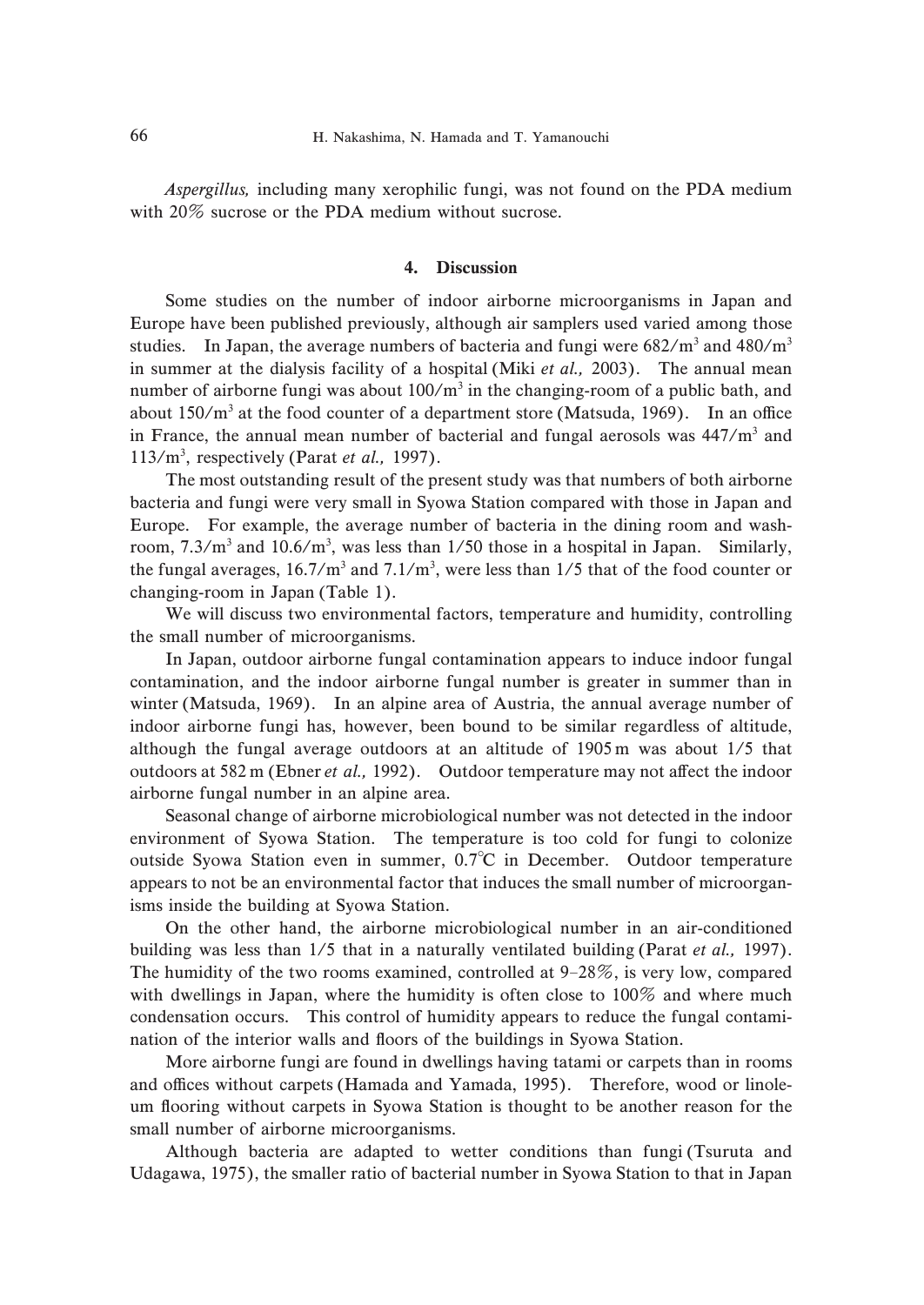Aspergillus, including many xerophilic fungi, was not found on the PDA medium with  $20\%$  sucrose or the PDA medium without sucrose.

## 4. Discussion

Some studies on the number of indoor airborne microorganisms in Japan and Europe have been published previously, although air samplers used varied among those studies. In Japan, the average numbers of bacteria and fungi were  $682/m^3$  and  $480/m^3$ in summer at the dialysis facility of a hospital (Miki *et al.*,  $2003$ ). The annual mean number of airborne fungi was about  $100/m^3$  in the changing-room of a public bath, and about  $150/m^3$  at the food counter of a department store (Matsuda, 1969). In an office in France, the annual mean number of bacterial and fungal aerosols was  $447/m^3$  and  $113/m<sup>3</sup>$ , respectively (Parat et al., 1997).

The most outstanding result of the present study was that numbers of both airborne bacteria and fungi were very small in Syowa Station compared with those in Japan and Europe. For example, the average number of bacteria in the dining room and washroom,  $7.3/m^3$  and  $10.6/m^3$ , was less than  $1/50$  those in a hospital in Japan. Similarly, the fungal averages,  $16.7/m^3$  and  $7.1/m^3$ , were less than  $1/5$  that of the food counter or changing-room in Japan (Table 1).

We will discuss two environmental factors, temperature and humidity, controlling the small number of microorganisms.

In Japan, outdoor airborne fungal contamination appears to induce indoor fungal contamination, and the indoor airborne fungal number is greater in summer than in winter (Matsuda, 1969). In an alpine area of Austria, the annual average number of indoor airborne fungi has, however, been bound to be similar regardless of altitude, although the fungal average outdoors at an altitude of  $1905 \text{ m}$  was about  $1/5$  that outdoors at  $582 \text{ m}$  (Ebner *et al.*, 1992). Outdoor temperature may not affect the indoor airborne fungal number in an alpine area.

Seasonal change of airborne microbiological number was not detected in the indoor environment of Syowa Station. The temperature is too cold for fungi to colonize outside Syowa Station even in summer, 0.7<sup>°</sup>C in December. Outdoor temperature appears to not be an environmental factor that induces the small number of microorganisms inside the building at Syowa Station.

On the other hand, the airborne microbiological number in an air-conditioned building was less than  $1/5$  that in a naturally ventilated building (Parat et al., 1997). The humidity of the two rooms examined, controlled at  $9-28\%$ , is very low, compared with dwellings in Japan, where the humidity is often close to  $100\%$  and where much condensation occurs. This control of humidity appears to reduce the fungal contamination of the interior walls and floors of the buildings in Syowa Station.

More airborne fungi are found in dwellings having tatami or carpets than in rooms and offices without carpets (Hamada and Yamada, 1995). Therefore, wood or linoleum flooring without carpets in Syowa Station is thought to be another reason for the small number of airborne microorganisms.

Although bacteria are adapted to wetter conditions than fungi (Tsuruta and Udagawa, 1975), the smaller ratio of bacterial number in Syowa Station to that in Japan